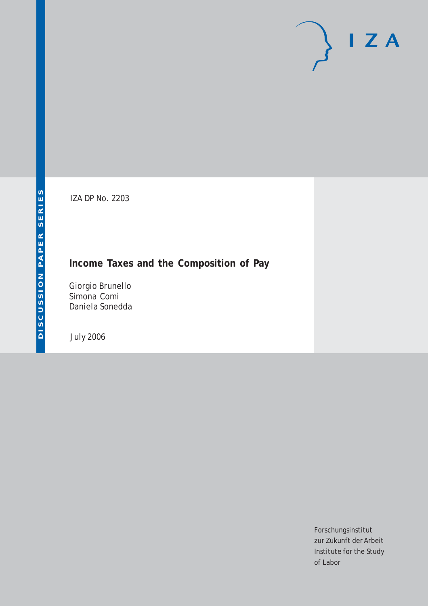# $I Z A$

IZA DP No. 2203

# **Income Taxes and the Composition of Pay**

Giorgio Brunello Simona Comi Daniela Sonedda

July 2006

Forschungsinstitut zur Zukunft der Arbeit Institute for the Study of Labor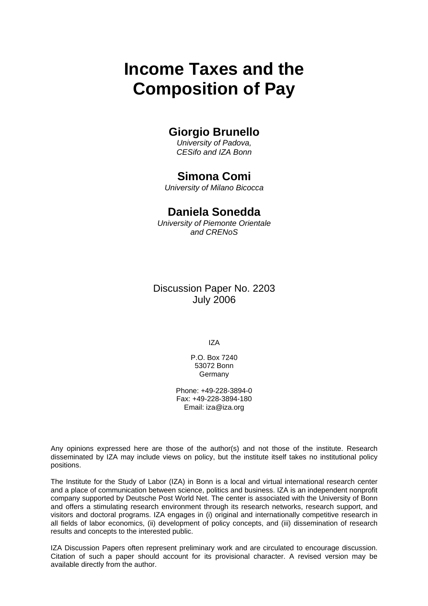# **Income Taxes and the Composition of Pay**

# **Giorgio Brunello**

*University of Padova, CESifo and IZA Bonn* 

# **Simona Comi**

*University of Milano Bicocca* 

# **Daniela Sonedda**

*University of Piemonte Orientale and CRENoS* 

Discussion Paper No. 2203 July 2006

IZA

P.O. Box 7240 53072 Bonn **Germany** 

Phone: +49-228-3894-0 Fax: +49-228-3894-180 Email: [iza@iza.org](mailto:iza@iza.org)

Any opinions expressed here are those of the author(s) and not those of the institute. Research disseminated by IZA may include views on policy, but the institute itself takes no institutional policy positions.

The Institute for the Study of Labor (IZA) in Bonn is a local and virtual international research center and a place of communication between science, politics and business. IZA is an independent nonprofit company supported by Deutsche Post World Net. The center is associated with the University of Bonn and offers a stimulating research environment through its research networks, research support, and visitors and doctoral programs. IZA engages in (i) original and internationally competitive research in all fields of labor economics, (ii) development of policy concepts, and (iii) dissemination of research results and concepts to the interested public.

IZA Discussion Papers often represent preliminary work and are circulated to encourage discussion. Citation of such a paper should account for its provisional character. A revised version may be available directly from the author.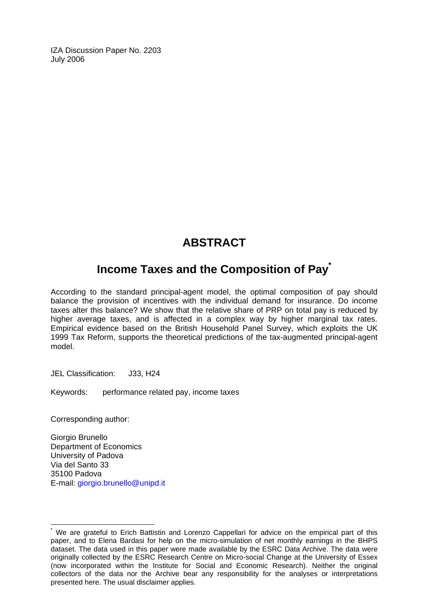IZA Discussion Paper No. 2203 July 2006

# **ABSTRACT**

# **Income Taxes and the Composition of Pay[\\*](#page-2-0)**

According to the standard principal-agent model, the optimal composition of pay should balance the provision of incentives with the individual demand for insurance. Do income taxes alter this balance? We show that the relative share of PRP on total pay is reduced by higher average taxes, and is affected in a complex way by higher marginal tax rates. Empirical evidence based on the British Household Panel Survey, which exploits the UK 1999 Tax Reform, supports the theoretical predictions of the tax-augmented principal-agent model.

JEL Classification: J33, H24

Keywords: performance related pay, income taxes

Corresponding author:

 $\overline{a}$ 

Giorgio Brunello Department of Economics University of Padova Via del Santo 33 35100 Padova E-mail: [giorgio.brunello@unipd.it](mailto:giorgio.brunello@unipd.it) 

<span id="page-2-0"></span><sup>\*</sup> We are grateful to Erich Battistin and Lorenzo Cappellari for advice on the empirical part of this paper, and to Elena Bardasi for help on the micro-simulation of net monthly earnings in the BHPS dataset. The data used in this paper were made available by the ESRC Data Archive. The data were originally collected by the ESRC Research Centre on Micro-social Change at the University of Essex (now incorporated within the Institute for Social and Economic Research). Neither the original collectors of the data nor the Archive bear any responsibility for the analyses or interpretations presented here. The usual disclaimer applies.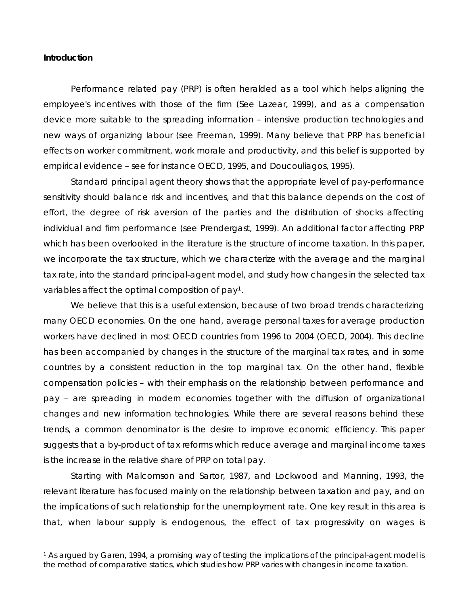### **Introduction**

 $\overline{a}$ 

Performance related pay (PRP) is often heralded as a tool which helps aligning the employee's incentives with those of the firm (See Lazear, 1999), and as a compensation device more suitable to the spreading information – intensive production technologies and new ways of organizing labour (see Freeman, 1999). Many believe that PRP has beneficial effects on worker commitment, work morale and productivity, and this belief is supported by empirical evidence – see for instance OECD, 1995, and Doucouliagos, 1995).

Standard principal agent theory shows that the appropriate level of pay-performance sensitivity should balance risk and incentives, and that this balance depends on the cost of effort, the degree of risk aversion of the parties and the distribution of shocks affecting individual and firm performance (see Prendergast, 1999). An additional factor affecting PRP which has been overlooked in the literature is the structure of income taxation. In this paper, we incorporate the tax structure, which we characterize with the average and the marginal tax rate, into the standard principal-agent model, and study how changes in the selected tax variables affect the optimal composition of pay[1](#page-3-0).

We believe that this is a useful extension, because of two broad trends characterizing many OECD economies. On the one hand, average personal taxes for average production workers have declined in most OECD countries from 1996 to 2004 (OECD, 2004). This decline has been accompanied by changes in the structure of the marginal tax rates, and in some countries by a consistent reduction in the top marginal tax. On the other hand, flexible compensation policies – with their emphasis on the relationship between performance and pay – are spreading in modern economies together with the diffusion of organizational changes and new information technologies. While there are several reasons behind these trends, a common denominator is the desire to improve economic efficiency. This paper suggests that a by-product of tax reforms which reduce average and marginal income taxes is the increase in the relative share of PRP on total pay.

Starting with Malcomson and Sartor, 1987, and Lockwood and Manning, 1993, the relevant literature has focused mainly on the relationship between taxation and pay, and on the implications of such relationship for the unemployment rate. One key result in this area is that, when labour supply is endogenous, the effect of tax progressivity on wages is

<span id="page-3-0"></span><sup>1</sup> As argued by Garen, 1994, a promising way of testing the implications of the principal-agent model is the method of comparative statics, which studies how PRP varies with changes in income taxation.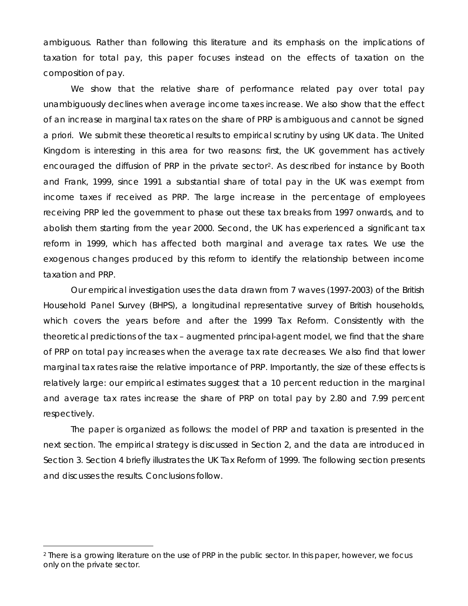ambiguous. Rather than following this literature and its emphasis on the implications of taxation for total pay, this paper focuses instead on the effects of taxation on the composition of pay.

We show that the relative share of performance related pay over total pay unambiguously declines when average income taxes increase. We also show that the effect of an increase in marginal tax rates on the share of PRP is ambiguous and cannot be signed a priori. We submit these theoretical results to empirical scrutiny by using UK data. The United Kingdom is interesting in this area for two reasons: first, the UK government has actively encouraged the diffusion of PRP in the private sector<sup>[2](#page-4-0)</sup>. As described for instance by Booth and Frank, 1999, since 1991 a substantial share of total pay in the UK was exempt from income taxes if received as PRP. The large increase in the percentage of employees receiving PRP led the government to phase out these tax breaks from 1997 onwards, and to abolish them starting from the year 2000. Second, the UK has experienced a significant tax reform in 1999, which has affected both marginal and average tax rates. We use the exogenous changes produced by this reform to identify the relationship between income taxation and PRP.

Our empirical investigation uses the data drawn from 7 waves (1997-2003) of the British Household Panel Survey (BHPS), a longitudinal representative survey of British households, which covers the years before and after the 1999 Tax Reform. Consistently with the theoretical predictions of the tax – augmented principal-agent model, we find that the share of PRP on total pay increases when the average tax rate decreases. We also find that lower marginal tax rates raise the relative importance of PRP. Importantly, the size of these effects is relatively large: our empirical estimates suggest that a 10 percent reduction in the marginal and average tax rates increase the share of PRP on total pay by 2.80 and 7.99 percent respectively.

The paper is organized as follows: the model of PRP and taxation is presented in the next section. The empirical strategy is discussed in Section 2, and the data are introduced in Section 3. Section 4 briefly illustrates the UK Tax Reform of 1999. The following section presents and discusses the results. Conclusions follow.

 $\overline{a}$ 

<span id="page-4-0"></span><sup>2</sup> There is a growing literature on the use of PRP in the public sector. In this paper, however, we focus only on the private sector.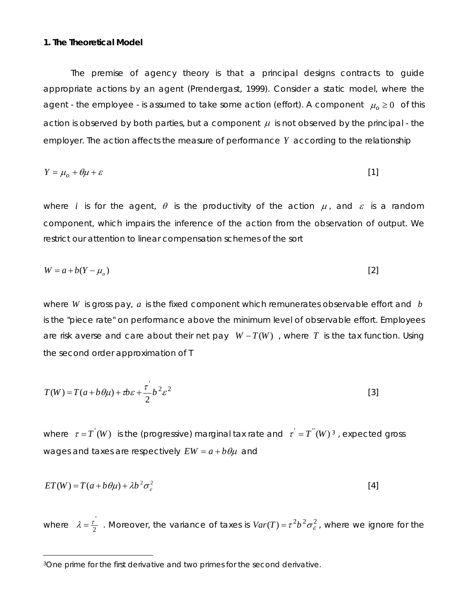### **1. The Theoretical Model**

The premise of agency theory is that a principal designs contracts to guide appropriate actions by an agent (Prendergast, 1999). Consider a static model, where the agent - the employee - is assumed to take some action (effort). A component  $\mu_0 \geq 0$  of this action is observed by both parties, but a component  $\mu$  is not observed by the principal - the employer. The action affects the measure of performance *Y* according to the relationship

$$
Y = \mu_o + \theta \mu + \varepsilon \tag{1}
$$

where *i* is for the agent,  $\theta$  is the productivity of the action  $\mu$ , and  $\varepsilon$  is a random component, which impairs the inference of the action from the observation of output. We restrict our attention to linear compensation schemes of the sort

$$
W = a + b(Y - \mu_o) \tag{2}
$$

where *W* is gross pay, *a* is the fixed component which remunerates observable effort and *b* is the "piece rate" on performance above the minimum level of observable effort. Employees are risk averse and care about their net pay  $W - T(W)$ , where *T* is the tax function. Using the second order approximation of *T* 

$$
T(W) = T(a + b\theta\mu) + \tau b\varepsilon + \frac{\tau^{'}}{2}b^{2}\varepsilon^{2}
$$
 [3]

where  $\tau = T'(W)$  is the (progressive) marginal tax rate and  $\tau' = T''(W)^3$  $\tau' = T''(W)^3$ , expected gross wages and taxes are respectively  $EW = a + b\theta\mu$  and

$$
ET(W) = T(a + b\theta\mu) + \lambda b^2 \sigma_s^2
$$
 [4]

where  $\lambda = \frac{\tau^{'}}{2}$ . Moreover, the variance of taxes is  $Var(T) = \tau^2 b^2 \sigma_{\varepsilon}^2$ , where we ignore for the

 $\overline{a}$ 

<span id="page-5-0"></span><sup>3</sup>One prime for the first derivative and two primes for the second derivative.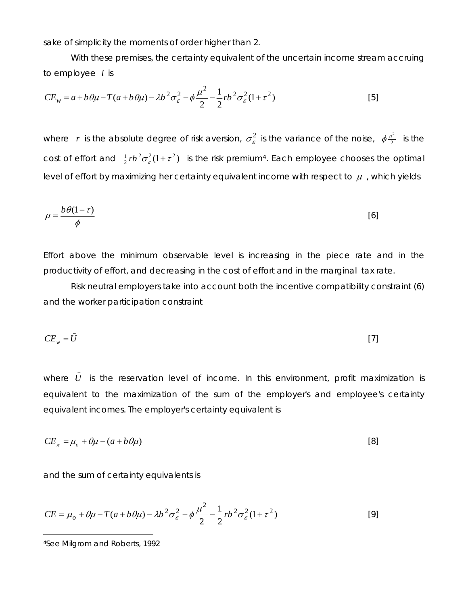sake of simplicity the moments of order higher than 2.

With these premises, the certainty equivalent of the uncertain income stream accruing to employee *i* is

$$
CE_w = a + b\theta\mu - T(a + b\theta\mu) - \lambda b^2 \sigma_\varepsilon^2 - \phi \frac{\mu^2}{2} - \frac{1}{2} r b^2 \sigma_\varepsilon^2 (1 + \tau^2)
$$
 [5]

where  $r$  is the absolute degree of risk aversion,  $\sigma_{\varepsilon}^2$  is the variance of the noise,  $\phi \frac{\mu^2}{2}$  is the cost of effort and  $\frac{1}{2}rb^2\sigma_r^2(1+\tau^2)$  $\frac{1}{2}$ rb<sup>2</sup> $\sigma_z^2(1+\tau^2)$  is the risk premium<sup>[4](#page-6-0)</sup>. Each employee chooses the optimal level of effort by maximizing her certainty equivalent income with respect to  $\mu$ , which yields

$$
\mu = \frac{b\,\theta(1-\tau)}{\phi} \tag{6}
$$

Effort above the minimum observable level is increasing in the piece rate and in the productivity of effort, and decreasing in the cost of effort and in the marginal tax rate.

Risk neutral employers take into account both the incentive compatibility constraint (6) and the worker participation constraint

$$
CE_w = \bar{U} \tag{7}
$$

where  $U$  is the reservation level of income. In this environment, profit maximization is equivalent to the maximization of the sum of the employer's and employee's certainty equivalent incomes. The employer's certainty equivalent is \_ *U*

$$
CE_{\pi} = \mu_o + \theta \mu - (a + b\theta \mu) \tag{8}
$$

and the sum of certainty equivalents is

$$
CE = \mu_o + \theta \mu - T(a + b\theta \mu) - \lambda b^2 \sigma_{\varepsilon}^2 - \phi \frac{\mu^2}{2} - \frac{1}{2} r b^2 \sigma_{\varepsilon}^2 (1 + \tau^2)
$$
 [9]

<span id="page-6-0"></span><sup>4</sup>See Milgrom and Roberts, 1992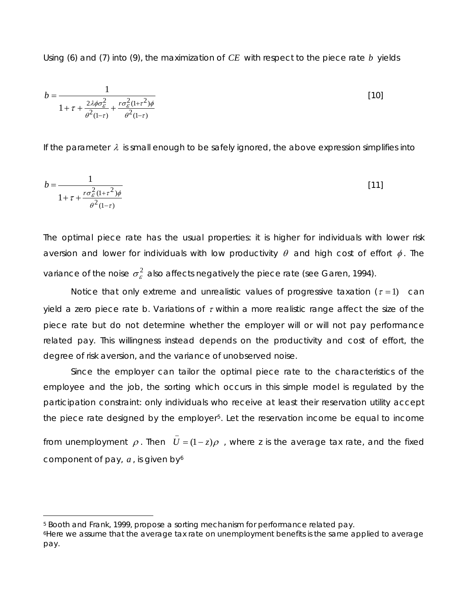Using (6) and (7) into (9), the maximization of *CE* with respect to the piece rate *b* yields

$$
b = \frac{1}{1 + \tau + \frac{2\lambda\phi\sigma_{\varepsilon}^2}{\theta^2(1-\tau)} + \frac{r\sigma_{\varepsilon}^2(1+\tau^2)\phi}{\theta^2(1-\tau)}}
$$
\n[10]

If the parameter  $\lambda$  is small enough to be safely ignored, the above expression simplifies into

$$
b = \frac{1}{1 + \tau + \frac{r\sigma_{\mathcal{E}}^2 (1 + \tau^2)\phi}{\theta^2 (1 - \tau)}}
$$
 [11]

The optimal piece rate has the usual properties: it is higher for individuals with lower risk aversion and lower for individuals with low productivity  $\theta$  and high cost of effort  $\phi$ . The variance of the noise  $\sigma_{\varepsilon}^2$  also affects negatively the piece rate (see Garen, 1994).

Notice that only extreme and unrealistic values of progressive taxation  $(\tau = 1)$  can yield a zero piece rate *b*. Variations of  $\tau$  within a more realistic range affect the size of the piece rate but do not determine whether the employer will or will not pay performance related pay. This willingness instead depends on the productivity and cost of effort, the degree of risk aversion, and the variance of unobserved noise.

Since the employer can tailor the optimal piece rate to the characteristics of the employee and the job, the sorting which occurs in this simple model is regulated by the participation constraint: only individuals who receive at least their reservation utility accept the piece rate designed by the employer<sup>[5](#page-7-0)</sup>. Let the reservation income be equal to income

from unemployment  $\rho$ . Then  $U = (1-z)\rho$ , where z is the average tax rate, and the fixed component of pay, *a* , is given by [6](#page-7-1)  $U = (1 - z)$ 

\_

 $\overline{a}$ 

<span id="page-7-0"></span><sup>5</sup> Booth and Frank, 1999, propose a sorting mechanism for performance related pay.

<span id="page-7-1"></span><sup>6</sup>Here we assume that the average tax rate on unemployment benefits is the same applied to average pay.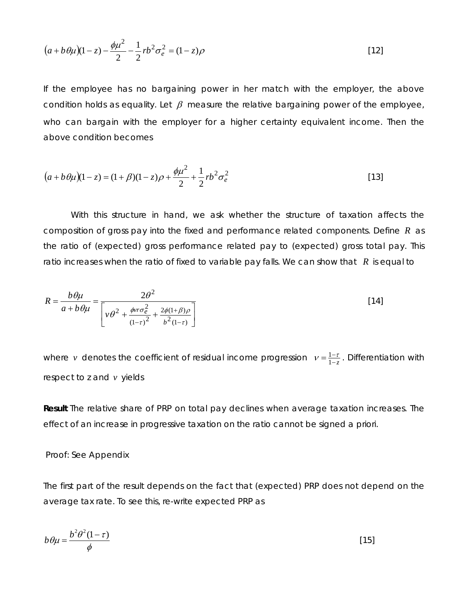$$
(a+b\theta\mu)(1-z) - \frac{\phi\mu^2}{2} - \frac{1}{2}rb^2\sigma_e^2 = (1-z)\rho
$$
 [12]

If the employee has no bargaining power in her match with the employer, the above condition holds as equality. Let  $\beta$  measure the relative bargaining power of the employee, who can bargain with the employer for a higher certainty equivalent income. Then the above condition becomes

$$
(a+b\theta\mu)(1-z) = (1+\beta)(1-z)\rho + \frac{\phi\mu^2}{2} + \frac{1}{2}rb^2\sigma_e^2
$$
 [13]

With this structure in hand, we ask whether the structure of taxation affects the composition of gross pay into the fixed and performance related components. Define  $R$  as the ratio of (expected) gross performance related pay to (expected) gross total pay. This ratio increases when the ratio of fixed to variable pay falls. We can show that  $R$  is equal to

$$
R = \frac{b\theta\mu}{a + b\theta\mu} = \frac{2\theta^2}{\left[\nu\theta^2 + \frac{\phi v r \sigma_e^2}{(1-\tau)^2} + \frac{2\phi(1+\beta)\rho}{b^2(1-\tau)}\right]}
$$
 [14]

where *v* denotes the coefficient of residual income progression  $v = \frac{1-\tau}{1-z}$ . Differentiation with respect to z and *v* yields

**Result** *The relative share of PRP on total pay declines when average taxation increases. The effect of an increase in progressive taxation on the ratio cannot be signed a priori.* 

### Proof: See Appendix

The first part of the result depends on the fact that (expected) PRP does not depend on the average tax rate. To see this, re-write expected PRP as

$$
b\theta\mu = \frac{b^2\theta^2(1-\tau)}{\phi} \tag{15}
$$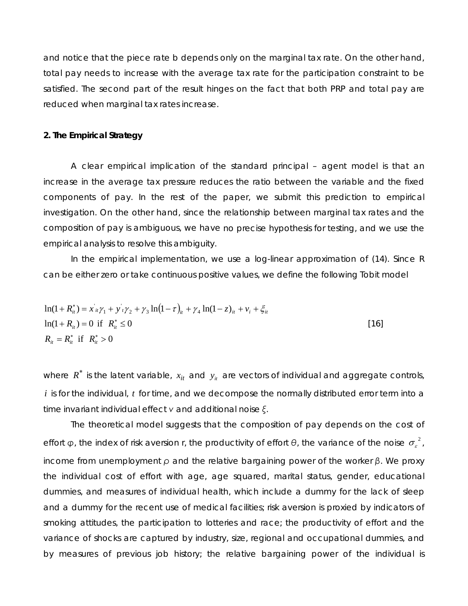and notice that the piece rate *b* depends only on the marginal tax rate. On the other hand, total pay needs to increase with the average tax rate for the participation constraint to be satisfied. The second part of the result hinges on the fact that both PRP and total pay are reduced when marginal tax rates increase.

### **. The Empirical Strategy 2**

composition of pay is ambiguous, we have no precise hypothesis for testing, and we use the empiri cal analysis to resolve this ambiguity. A clear empirical implication of the standard principal – agent model is that an increase in the average tax pressure reduces the ratio between the variable and the fixed components of pay. In the rest of the paper, we submit this prediction to empirical investigation. On the other hand, since the relationship between marginal tax rates and the

In the empirical implementation, we use a log-linear approximation of (14). Since R can be either zero or take continuous positive values, we define the following Tobit model

$$
\ln(1 + R_{ii}^*) = x_{ii} \gamma_1 + y_{i} \gamma_2 + \gamma_3 \ln(1 - \tau)_{ii} + \gamma_4 \ln(1 - z)_{ii} + v_i + \xi_{ii}
$$
  
\n
$$
\ln(1 + R_{ii}) = 0 \text{ if } R_{ii}^* \le 0
$$
  
\n
$$
R_{ii} = R_{ii}^* \text{ if } R_{ii}^* > 0
$$
\n[16]

where  $R^*$  is the latent variable,  $x_{it}$  and  $y_{it}$  are vectors of individual and aggregate controls,  $i$  is for the individual,  $t$  for time, and we decompose the normally distributed error term into a time in variant individual effect *ν* and additional noise *ξ*.

The theoretical model suggests that the composition of pay depends on the cost of effort  $\phi$ , the index of risk aversion *r*, the productivity of effort  $\theta$ , the variance of the noise  $\sigma_{\varepsilon}^2$ , income from unemployment *ρ* and the relative bargaining power of the worker *β*. We proxy the individual cost of effort with age, age squared, marital status, gender, educational dummies, and measures of individual health, which include a dummy for the lack of sleep and a dummy for the recent use of medical facilities; risk aversion is proxied by indicators of smoking attitudes, the participation to lotteries and race; the productivity of effort and the variance of shocks are captured by industry, size, regional and occupational dummies, and by measures of previous job history; the relative bargaining power of the individual is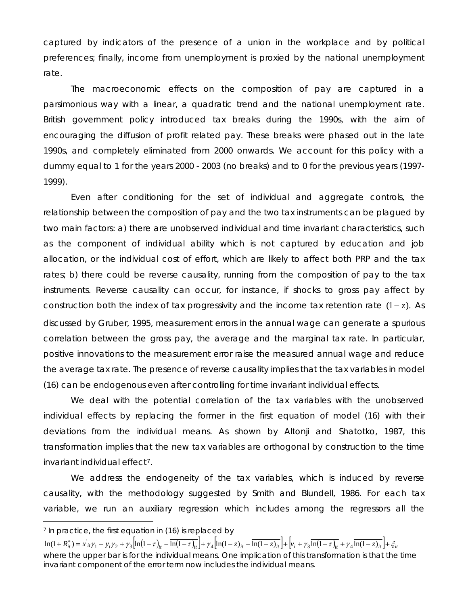captured by indicators of the presence of a union in the workplace and by political preferences; finally, income from unemployment is proxied by the national unemployment rate.

dummy equal to 1 for the years 2000 - 2003 (no breaks) and to 0 for the previous years (1997-1999). The macroeconomic effects on the composition of pay are captured in a parsimonious way with a linear, a quadratic trend and the national unemployment rate. British government policy introduced tax breaks during the 1990s, with the aim of encouraging the diffusion of profit related pay. These breaks were phased out in the late 1990s, and completely eliminated from 2000 onwards. We account for this policy with a

instruments. Reverse causality can occur, for instance, if shocks to gross pay affect by Even after conditioning for the set of individual and aggregate controls, the relationship between the composition of pay and the two tax instruments can be plagued by two main factors: a) there are unobserved individual and time invariant characteristics, such as the component of individual ability which is not captured by education and job allocation, or the individual cost of effort, which are likely to affect both PRP and the tax rates; b) there could be reverse causality, running from the composition of pay to the tax construction both the index of tax progressivity and the income tax retention rate (1-z). As discussed by Gruber, 1995, measurement errors in the annual wage can generate a spurious correlation between the gross pay, the average and the marginal tax rate. In particular, positive innovations to the measurement error raise the measured annual wage and reduce the average tax rate. The presence of reverse causality implies that the tax variables in model (16) ca n be endogenous even after controlling for time invariant individual effects.

transformation implies that the new tax variables are orthogonal by construction to the time invaria nt individual effect[7](#page-11-0). We deal with the potential correlation of the tax variables with the unobserved individual effects by replacing the former in the first equation of model (16) with their deviations from the individual means. As shown by Altonji and Shatotko, 1987, this

We address the endogeneity of the tax variables, which is induced by reverse causality, with the methodology suggested by Smith and Blundell, 1986. For each tax variable, we run an auxiliary regression which includes among the regressors all the

 $\overline{a}$ 

<sup>&</sup>lt;sup>7</sup> In practice, the first equation in (16) is replaced by

 $\ln(1+R_{ii}^*)=x_{ii}\gamma_1+y_i\gamma_2+y_3\left[\ln(1-\tau)_{ii}-\overline{\ln(1-\tau)_{ii}}\right]+\gamma_4\left[\ln(1-z)_{ii}-\overline{\ln(1-z)_{ii}}\right]+\left|v_i+y_3\overline{\ln(1-\tau)_{ii}}+y_4\overline{\ln(1-z)_{ii}}\right|+\zeta_{ii}$ where the upper bar is for the individual means. One implication of this transformation is that the time invariant component of the error term now includes the individual means.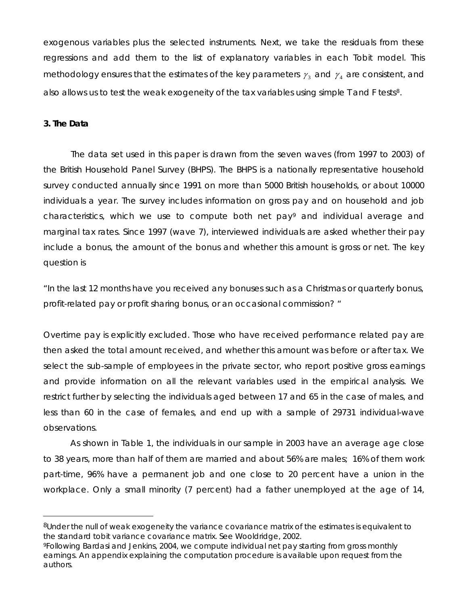exogenous variables plus the selected instruments. Next, we take the residuals from these regressions and add them to the list of explanatory variables in each Tobit model. This methodology ensures that the estimates of the key parameters  $\gamma_3$  and  $\gamma_4$  are consistent, and also allows us to test the weak exogeneity of the tax variables using simple T and F tests<sup>8</sup>.

### **The Data 3.**

 $\overline{a}$ 

include a bonus, the amount of the bonus and whether this amount is gross or net. The key question is The data set used in this paper is drawn from the seven waves (from 1997 to 2003) of the British Household Panel Survey (BHPS). The BHPS is a nationally representative household survey conducted annually since 1991 on more than 5000 British households, or about 10000 individuals a year. The survey includes information on gross pay and on household and job characteristics, which we use to compute both net pay[9](#page-11-1) and individual average and marginal tax rates. Since 1997 (wave 7), interviewed individuals are asked whether their pay

"In the last 12 months have you received any bonuses such as a Christmas or quarterly bonus, *rofit-related pay or profit sharing bonus, or an occasional commission? " p*

less than 60 in the case of females, and end up with a sample of 29731 individual-wave observ ations. Overtime pay is explicitly excluded. Those who have received performance related pay are then asked the total amount received, and whether this amount was before or after tax. We select the sub-sample of employees in the private sector, who report positive gross earnings and provide information on all the relevant variables used in the empirical analysis. We restrict further by selecting the individuals aged between 17 and 65 in the case of males, and

As shown in Table 1, the individuals in our sample in 2003 have an average age close to 38 years, more than half of them are married and about 56% are males; 16% of them work part-time, 96% have a permanent job and one close to 20 percent have a union in the workplace. Only a small minority (7 percent) had a father unemployed at the age of 14,

<span id="page-11-0"></span><sup>&</sup>lt;sup>8</sup>Under the null of weak exogeneity the variance covariance matrix of the estimates is equivalent to the standard tobit variance covariance matrix. See Wooldridge, 2002.

<span id="page-11-1"></span><sup>9</sup>Following Bardasi and Jenkins, 2004, we compute individual net pay starting from gross monthly earnings. An appendix explaining the computation procedure is available upon request from the authors.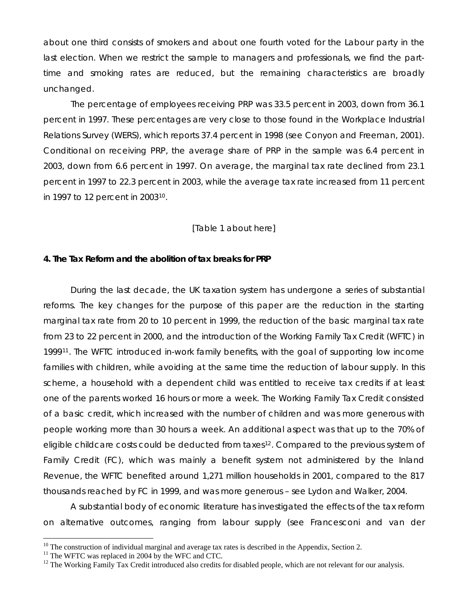about one third consists of smokers and about one fourth voted for the Labour party in the last election. When we restrict the sample to managers and professionals, we find the parttime and smoking rates are reduced, but the remaining characteristics are broadly uncha nged.

percent in 1997 to 22.3 percent in 2003, while the average tax rate increased from 11 percent in 1997 to 12 percent in 200310. The percentage of employees receiving PRP was 33.5 percent in 2003, down from 36.1 percent in 1997. These percentages are very close to those found in the Workplace Industrial Relations Survey (WERS), which reports 37.4 percent in 1998 (see Conyon and Freeman, 2001). Conditional on receiving PRP, the average share of PRP in the sample was 6.4 percent in 2003, down from 6.6 percent in 1997. On average, the marginal tax rate declined from 23.1

### [Table 1 about here]

### **. The Tax Reform and the abolition of tax breaks for PRP 4**

Revenue, the WFTC benefited around 1,271 million households in 2001, compared to the 817 thousa nds reached by FC in 1999, and was more generous – see Lydon and Walker, 2004. During the last decade, the UK taxation system has undergone a series of substantial reforms. The key changes for the purpose of this paper are the reduction in the starting marginal tax rate from 20 to 10 percent in 1999, the reduction of the basic marginal tax rate from 23 to 22 percent in 2000, and the introduction of the Working Family Tax Credit (WFTC) in 1999[11](#page-12-0). The WFTC introduced in-work family benefits, with the goal of supporting low income families with children, while avoiding at the same time the reduction of labour supply. In this scheme, a household with a dependent child was entitled to receive tax credits if at least one of the parents worked 16 hours or more a week. The Working Family Tax Credit consisted of a basic credit, which increased with the number of children and was more generous with people working more than 30 hours a week. An additional aspect was that up to the 70% of eligible childcare costs could be deducted from taxes<sup>[12](#page-12-1)</sup>. Compared to the previous system of Family Credit (FC), which was mainly a benefit system not administered by the Inland

A substantial body of economic literature has investigated the effects of the tax reform on alternative outcomes, ranging from labour supply (see Francesconi and van der

 $\overline{a}$ 

<sup>&</sup>lt;sup>10</sup> The construction of individual marginal and average tax rates is described in the Appendix, Section 2.<sup>11</sup> The WFTC was replaced in 2004 by the WFC and CTC.

<span id="page-12-0"></span>

<span id="page-12-1"></span><sup>&</sup>lt;sup>12</sup> The Working Family Tax Credit introduced also credits for disabled people, which are not relevant for our analysis.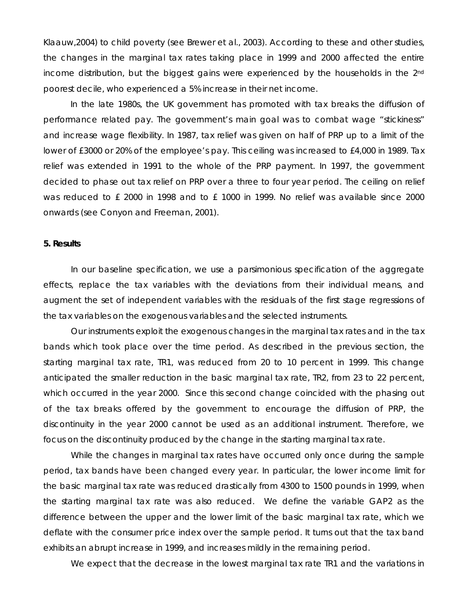Klaauw,2004) to child poverty (see Brewer et al., 2003). According to these and other studies, the changes in the marginal tax rates taking place in 1999 and 2000 affected the entire income distribution, but the biggest gains were experienced by the households in the 2<sup>nd</sup> poore st decile, who experienced a 5% increase in their net income.

was reduced to £ 2000 in 1998 and to £ 1000 in 1999. No relief was available since 2000 onwards (see Conyon and Freeman, 2001). In the late 1980s, the UK government has promoted with tax breaks the diffusion of performance related pay. The government's main goal was to combat wage "stickiness" and increase wage flexibility. In 1987, tax relief was given on half of PRP up to a limit of the lower of £3000 or 20% of the employee's pay. This ceiling was increased to £4,000 in 1989. Tax relief was extended in 1991 to the whole of the PRP payment. In 1997, the government decided to phase out tax relief on PRP over a three to four year period. The ceiling on relief

### **5. Results**

augment the set of independent variables with the residuals of the first stage regressions of the tax variables on the exogenous variables and the selected instruments. In our baseline specification, we use a parsimonious specification of the aggregate effects, replace the tax variables with the deviations from their individual means, and

discontinuity in the year 2000 cannot be used as an additional instrument. Therefore, we focus o n the discontinuity produced by the change in the starting marginal tax rate. Our instruments exploit the exogenous changes in the marginal tax rates and in the tax bands which took place over the time period. As described in the previous section, the starting marginal tax rate, *TR1*, was reduced from 20 to 10 percent in 1999. This change anticipated the smaller reduction in the basic marginal tax rate, *TR2*, from 23 to 22 percent, which occurred in the year 2000. Since this second change coincided with the phasing out of the tax breaks offered by the government to encourage the diffusion of PRP, the

deflate with the consumer price index over the sample period. It turns out that the tax band exhibit s an abrupt increase in 1999, and increases mildly in the remaining period. While the changes in marginal tax rates have occurred only once during the sample period, tax bands have been changed every year. In particular, the lower income limit for the basic marginal tax rate was reduced drastically from 4300 to 1500 pounds in 1999, when the starting marginal tax rate was also reduced. We define the variable *GAP2* as the difference between the upper and the lower limit of the basic marginal tax rate, which we

We expect that the decrease in the lowest marginal tax rate *TR1* and the variations in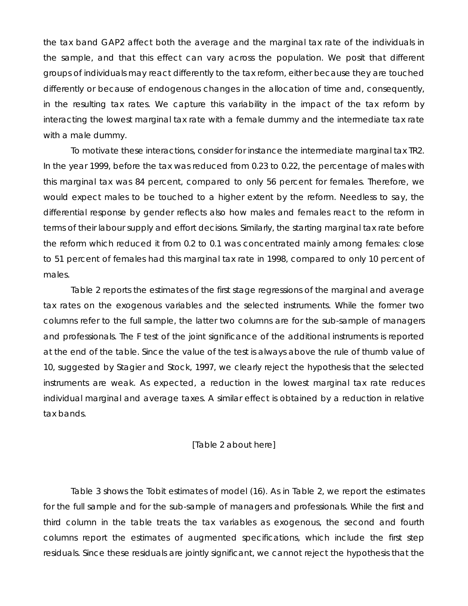the tax band *GAP2* affect both the average and the marginal tax rate of the individuals in the sample, and that this effect can vary across the population. We posit that different groups of individuals may react differently to the tax reform, either because they are touched differently or because of endogenous changes in the allocation of time and, consequently, in the resulting tax rates. We capture this variability in the impact of the tax reform by interacting the lowest marginal tax rate with a female dummy and the intermediate tax rate with a male dummy.

to 51 percent of females had this marginal tax rate in 1998, compared to only 10 percent of males. To motivate these interactions, consider for instance the intermediate marginal tax *TR2*. In the year 1999, before the tax was reduced from 0.23 to 0.22, the percentage of males with this marginal tax was 84 percent, compared to only 56 percent for females. Therefore, we would expect males to be touched to a higher extent by the reform. Needless to say, the differential response by gender reflects also how males and females react to the reform in terms of their labour supply and effort decisions. Similarly, the starting marginal tax rate before the reform which reduced it from 0.2 to 0.1 was concentrated mainly among females: close

individual marginal and average taxes. A similar effect is obtained by a reduction in relative tax bands. Table 2 reports the estimates of the first stage regressions of the marginal and average tax rates on the exogenous variables and the selected instruments. While the former two columns refer to the full sample, the latter two columns are for the sub-sample of managers and professionals. The F test of the joint significance of the additional instruments is reported at the end of the table. Since the value of the test is always above the rule of thumb value of 10, suggested by Stagier and Stock, 1997, we clearly reject the hypothesis that the selected instruments are weak. As expected, a reduction in the lowest marginal tax rate reduces

### [Table 2 about here]

Table 3 shows the Tobit estimates of model (16). As in Table 2, we report the estimates for the full sample and for the sub-sample of managers and professionals. While the first and third column in the table treats the tax variables as exogenous, the second and fourth columns report the estimates of augmented specifications, which include the first step residuals. Since these residuals are jointly significant, we cannot reject the hypothesis that the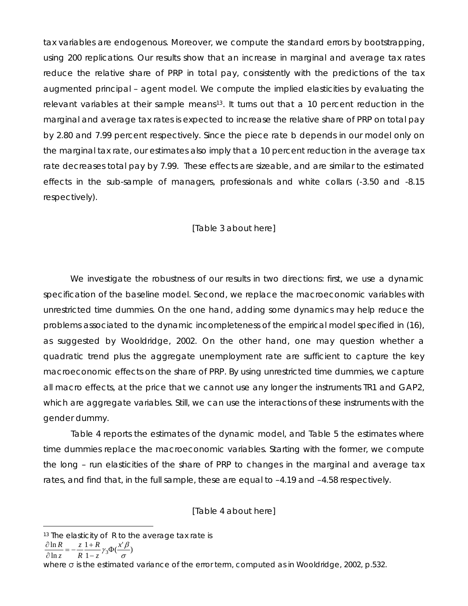tax variables are endogenous. Moreover, we compute the standard errors by bootstrapping, using 200 replications. Our results show that an increase in marginal and average tax rates reduce the relative share of PRP in total pay, consistently with the predictions of the tax augmented principal – agent model. We compute the implied elasticities by evaluating the relevant variables at their sample means<sup>[13](#page-15-0)</sup>. It turns out that a 10 percent reduction in the marginal and average tax rates is expected to increase the relative share of PRP on total pay by 2.80 and 7.99 percent respectively. Since the piece rate *b* depends in our model only on the marginal tax rate, our estimates also imply that a 10 percent reduction in the average tax rate decreases total pay by 7.99. These effects are sizeable, and are similar to the estimated effects in the sub-sample of managers, professionals and white collars (-3.50 and -8.15 respectively).

### [Table 3 about here]

which are aggregate variables. Still, we can use the interactions of these instruments with the gende r dummy. We investigate the robustness of our results in two directions: first, we use a dynamic specification of the baseline model. Second, we replace the macroeconomic variables with unrestricted time dummies. On the one hand, adding some dynamics may help reduce the problems associated to the dynamic incompleteness of the empirical model specified in (16), as suggested by Wooldridge, 2002. On the other hand, one may question whether a quadratic trend plus the aggregate unemployment rate are sufficient to capture the key macroeconomic effects on the share of PRP. By using unrestricted time dummies, we capture all macro effects, at the price that we cannot use any longer the instruments *TR1* and *GAP2*,

the long - run elasticities of the share of PRP to changes in the marginal and average tax rates, and find that, in the full sample, these are equal to –4.19 and –4.58 respectively. Table 4 reports the estimates of the dynamic model, and Table 5 the estimates where time dummies replace the macroeconomic variables. Starting with the former, we compute

[Table 4 about here]

$$
\frac{\partial \ln R}{\partial \ln z} = -\frac{z}{R} \frac{1+R}{1-z} \gamma_3 \Phi(\frac{x'\beta}{\sigma})
$$

 $\overline{a}$ 

σ

where σ is the estimated variance of the error term, computed as in Wooldridge, 2002, p.532.

<span id="page-15-0"></span> $13$  The elasticity of R to the average tax rate is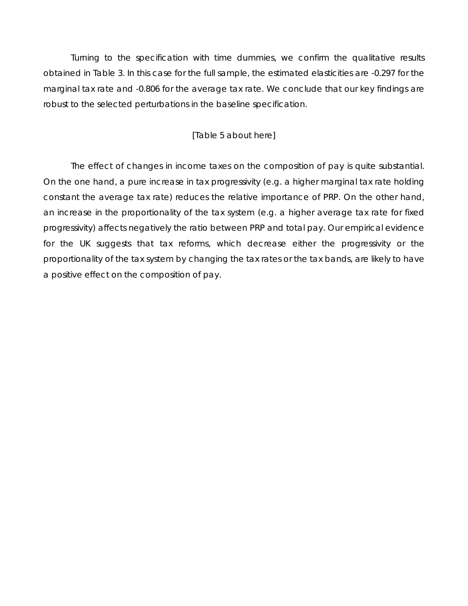Turning to the specification with time dummies, we confirm the qualitative results obtained in Table 3. In this case for the full sample, the estimated elasticities are -0.297 for the marginal tax rate and -0.806 for the average tax rate. We conclude that our key findings are robust to the selected perturbations in the baseline specification.

### [Table 5 about here]

proportionality of the tax system by changing the tax rates or the tax bands, are likely to have a positive effect on the composition of pay. The effect of changes in income taxes on the composition of pay is quite substantial. On the one hand, a pure increase in tax progressivity (e.g. a higher marginal tax rate holding constant the average tax rate) reduces the relative importance of PRP. On the other hand, an increase in the proportionality of the tax system (e.g. a higher average tax rate for fixed progressivity) affects negatively the ratio between PRP and total pay. Our empirical evidence for the UK suggests that tax reforms, which decrease either the progressivity or the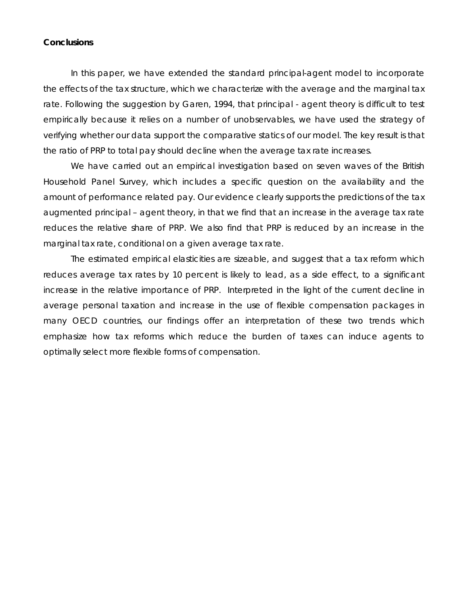### **Conclusions**

In this paper, we have extended the standard principal-agent model to incorporate the effects of the tax structure, which we characterize with the average and the marginal tax rate. Following the suggestion by Garen, 1994, that principal - agent theory is difficult to test empirically because it relies on a number of unobservables, we have used the strategy of verifying whether our data support the comparative statics of our model. The key result is that the ratio of PRP to total pay should decline when the average tax rate increases.

We have carried out an empirical investigation based on seven waves of the British Household Panel Survey, which includes a specific question on the availability and the amount of performance related pay. Our evidence clearly supports the predictions of the tax augmented principal – agent theory, in that we find that an increase in the average tax rate reduces the relative share of PRP. We also find that PRP is reduced by an increase in the marginal tax rate, conditional on a given average tax rate.

The estimated empirical elasticities are sizeable, and suggest that a tax reform which reduces average tax rates by 10 percent is likely to lead, as a side effect, to a significant increase in the relative importance of PRP. Interpreted in the light of the current decline in average personal taxation and increase in the use of flexible compensation packages in many OECD countries, our findings offer an interpretation of these two trends which emphasize how tax reforms which reduce the burden of taxes can induce agents to optimally select more flexible forms of compensation.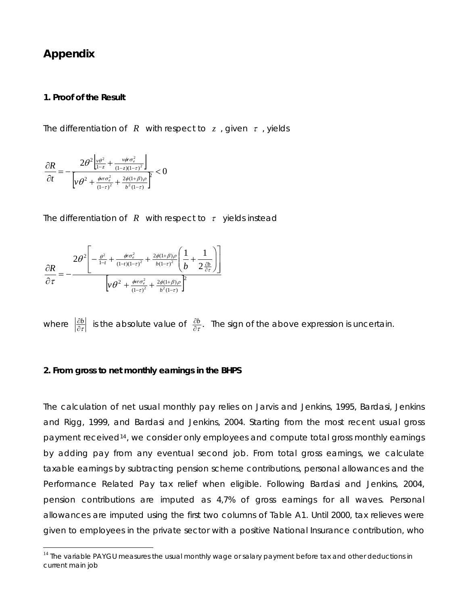## **Appendix**

 $\overline{a}$ 

### **1. Proof of the Result**

The differentiation of  $R$  with respect to  $z$ , given  $\tau$ , yields

$$
\frac{\partial R}{\partial t} = -\frac{2\theta^2 \left| \frac{v\theta^2}{1-z} + \frac{v\phi r \sigma_e^2}{(1-z)(1-\tau)^2} \right|}{\left[ v\theta^2 + \frac{\phi r r \sigma_e^2}{(1-\tau)^2} + \frac{2\phi(1+\beta)\rho}{b^2(1-\tau)} \right]^2} < 0
$$

The differentiation of  $R$  with respect to  $\tau$  yields instead

$$
\frac{\partial R}{\partial \tau} = -\frac{2\theta^2 \left[ -\frac{\theta^2}{1-t} + \frac{\phi r \sigma_e^2}{(1-t)(1-\tau)^2} + \frac{2\phi(1+\beta)\rho}{b(1-\tau)^2} \left( \frac{1}{b} + \frac{1}{2 \frac{\partial b}{\partial \tau}} \right) \right]}{\left[ \gamma \theta^2 + \frac{\phi r \sigma_e^2}{(1-\tau)^2} + \frac{2\phi(1+\beta)\rho}{b^2(1-\tau)} \right]^2}
$$

where  $\frac{|\partial b|}{|\partial \tau|}$  is the absolute value of  $\frac{\partial b}{\partial \tau}$ . The sign of the above expression is uncertain.

### **2. From gross to net monthly earnings in the BHPS**

The calculation of net usual monthly pay relies on Jarvis and Jenkins, 1995, Bardasi, Jenkins and Rigg, 1999, and Bardasi and Jenkins, 2004. Starting from the most recent usual gross payment received<sup>[14](#page-18-0)</sup>, we consider only employees and compute total gross monthly earnings by adding pay from any eventual second job. From total gross earnings, we calculate taxable earnings by subtracting pension scheme contributions, personal allowances and the Performance Related Pay tax relief when eligible. Following Bardasi and Jenkins, 2004, pension contributions are imputed as 4,7% of gross earnings for all waves. Personal allowances are imputed using the first two columns of Table A1. Until 2000, tax relieves were given to employees in the private sector with a positive National Insurance contribution, who

<span id="page-18-0"></span><sup>&</sup>lt;sup>14</sup> The variable PAYGU measures the usual monthly wage or salary payment before tax and other deductions in current main job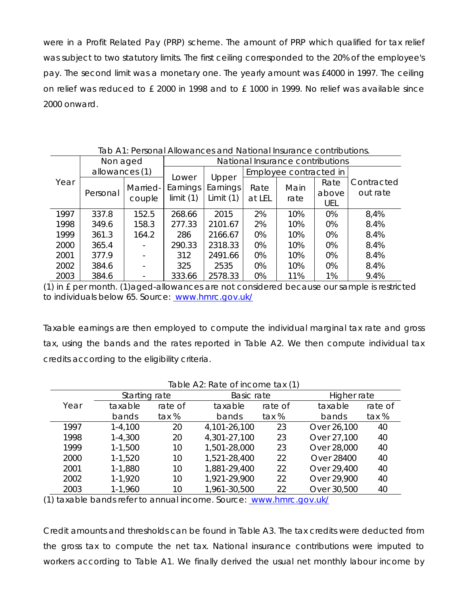were in a Profit Related Pay (PRP) scheme. The amount of PRP which qualified for tax relief was subject to two statutory limits. The first ceiling corresponded to the 20% of the employee's pay. The second limit was a monetary one. The yearly amount was £4000 in 1997. The ceiling on relief was reduced to £ 2000 in 1998 and to £ 1000 in 1999. No relief was available since 2000 onward.

|      | Non aged<br>allowances (1) |                    | National Insurance contributions |                         |                        |              |                      |                        |
|------|----------------------------|--------------------|----------------------------------|-------------------------|------------------------|--------------|----------------------|------------------------|
| Year |                            |                    |                                  | Upper                   | Employee contracted in |              |                      |                        |
|      | Personal                   | Married-<br>couple | Lower<br>Earnings<br>limit $(1)$ | Earnings<br>Limit $(1)$ | Rate<br>at LEL         | Main<br>rate | Rate<br>above<br>UEL | Contracted<br>out rate |
| 1997 | 337.8                      | 152.5              | 268.66                           | 2015                    | 2%                     | 10%          | 0%                   | 8,4%                   |
| 1998 | 349.6                      | 158.3              | 277.33                           | 2101.67                 | 2%                     | 10%          | 0%                   | 8.4%                   |
| 1999 | 361.3                      | 164.2              | 286                              | 2166.67                 | 0%                     | 10%          | 0%                   | 8.4%                   |
| 2000 | 365.4                      |                    | 290.33                           | 2318.33                 | 0%                     | 10%          | 0%                   | 8.4%                   |
| 2001 | 377.9                      |                    | 312                              | 2491.66                 | 0%                     | 10%          | 0%                   | 8.4%                   |
| 2002 | 384.6                      |                    | 325                              | 2535                    | 0%                     | 10%          | 0%                   | 8.4%                   |
| 2003 | 384.6                      |                    | 333.66                           | 2578.33                 | 0%                     | 11%          | 1%                   | 9.4%                   |

Tab A1: Personal Allowances and National Insurance contributions.

(1) in £ per month. (1)aged-allowances are not considered because our sample is restricted to individuals below 65. Source: [www.hmrc.gov.uk/](http://www.inlandrevenue.gov.uk/)

Taxable earnings are then employed to compute the individual marginal tax rate and gross tax, using the bands and the rates reported in Table A2. We then compute individual tax credits according to the eligibility criteria.

| Table A2: Rate of income tax (1) |               |         |              |         |             |             |  |  |  |  |
|----------------------------------|---------------|---------|--------------|---------|-------------|-------------|--|--|--|--|
|                                  | Starting rate |         | Basic rate   |         |             | Higher rate |  |  |  |  |
| Year                             | taxable       | rate of | taxable      | rate of | taxable     | rate of     |  |  |  |  |
|                                  | bands         | tax %   | bands        | tax %   | bands       | tax %       |  |  |  |  |
| 1997                             | $1 - 4,100$   | 20      | 4,101-26,100 | 23      | Over 26,100 | 40          |  |  |  |  |
| 1998                             | $1 - 4,300$   | 20      | 4,301-27,100 | 23      | Over 27,100 | 40          |  |  |  |  |
| 1999                             | $1 - 1,500$   | 10      | 1,501-28,000 | 23      | Over 28,000 | 40          |  |  |  |  |
| 2000                             | $1 - 1,520$   | 10      | 1,521-28,400 | 22      | Over 28400  | 40          |  |  |  |  |
| 2001                             | 1-1,880       | 10      | 1,881-29,400 | 22      | Over 29,400 | 40          |  |  |  |  |
| 2002                             | 1-1,920       | 10      | 1,921-29,900 | 22      | Over 29,900 | 40          |  |  |  |  |
| 2003                             | 1-1,960       | 10      | 1,961-30,500 | 22      | Over 30,500 | 40          |  |  |  |  |

(1) taxable bands refer to annual income. Source: www.hmrc.gov.uk/

Credit amounts and thresholds can be found in Table A3. The tax credits were deducted from the gross tax to compute the net tax. National insurance contributions were imputed to workers according to Table A1. We finally derived the usual net monthly labour income by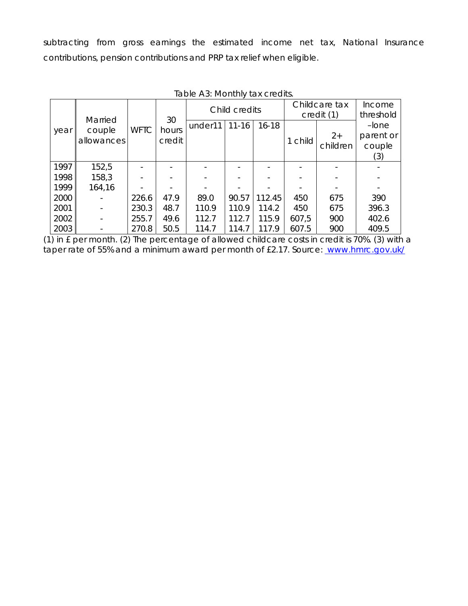subtracting from gross earnings the estimated income net tax, National Insurance contributions, pension contributions and PRP tax relief when eligible.

|      |                                 |             |                       | Child credits |           |           | Childcare tax<br>credit (1) |                  | Income<br>threshold                    |
|------|---------------------------------|-------------|-----------------------|---------------|-----------|-----------|-----------------------------|------------------|----------------------------------------|
| year | Married<br>couple<br>allowances | <b>WFTC</b> | 30<br>hours<br>credit | under11       | $11 - 16$ | $16 - 18$ | 1 child                     | $2+$<br>children | $-I$ one<br>parent or<br>couple<br>(3) |
| 1997 | 152,5                           |             |                       |               |           |           |                             |                  |                                        |
| 1998 | 158,3                           |             |                       |               |           |           |                             |                  |                                        |
| 1999 | 164,16                          |             |                       |               |           |           |                             |                  |                                        |
| 2000 |                                 | 226.6       | 47.9                  | 89.0          | 90.57     | 112.45    | 450                         | 675              | 390                                    |
| 2001 |                                 | 230.3       | 48.7                  | 110.9         | 110.9     | 114.2     | 450                         | 675              | 396.3                                  |
| 2002 |                                 | 255.7       | 49.6                  | 112.7         | 112.7     | 115.9     | 607,5                       | 900              | 402.6                                  |
| 2003 |                                 | 270.8       | 50.5                  | 114.7         | 114.7     | 117.9     | 607.5                       | 900              | 409.5                                  |

Table A3: Monthly tax credits.

(1) in £ per month. (2) The percentage of allowed childcare costs in credit is 70%. (3) with a taper rate of 55% and a minimum award per month of £2.17. Source: [www.hmrc.gov.uk/](http://www.inlandrevenue.gov.uk/)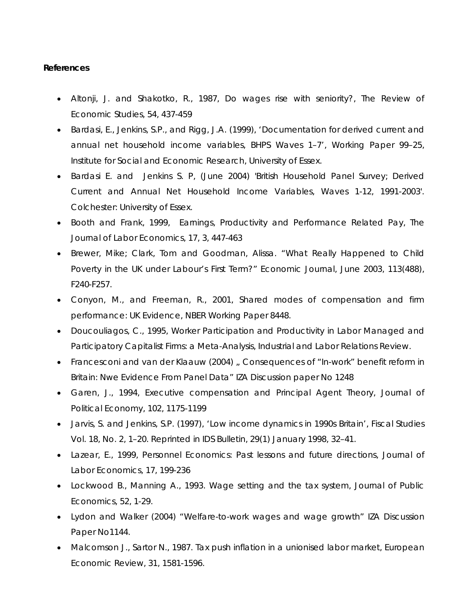### **References**

- Altonji, J. and Shakotko, R., 1987, Do wages rise with seniority?, *The Review of Economic Studies*, 54, 437-459
- Bardasi, E., Jenkins, S.P., and Rigg, J.A. (1999), 'Documentation for derived current and annual net household income variables, BHPS Waves 1–7', Working Paper 99–25, Institute for Social and Economic Research, University of Essex.
- Bardasi E. and Jenkins S. P, (June 2004) 'British Household Panel Survey; Derived Current and Annual Net Household Income Variables, Waves 1-12, 1991-2003'. Colchester: University of Essex.
- Booth and Frank, 1999, Earnings, Productivity and Performance Related Pay, *The Journal of Labor Economics*, 17, 3, 447-463
- Brewer, Mike; Clark, Tom and Goodman, Alissa. "What Really Happened to Child Poverty in the UK under Labour's First Term?" *Economic Journal*, June 2003, *113*(488), F240-F257.
- Conyon, M., and Freeman, R., 2001, Shared modes of compensation and firm performance: UK Evidence, NBER Working Paper 8448.
- Doucouliagos, C., 1995, Worker Participation and Productivity in Labor Managed and Participatory Capitalist Firms: a Meta-Analysis, *Industrial and Labor Relations Review*.
- Francesconi and van der Klaauw (2004), Consequences of "In-work" benefit reform in Britain: Nwe Evidence From Panel Data" IZA Discussion paper No 1248
- Garen, J., 1994, Executive compensation and Principal Agent Theory, *Journal of Political Economy*, 102, 1175-1199
- Jarvis, S. and Jenkins, S.P. (1997), 'Low income dynamics in 1990s Britain', Fiscal Studies Vol. 18, No. 2, 1–20. Reprinted in IDS Bulletin, 29(1) January 1998, 32–41.
- Lazear, E., 1999, Personnel Economics: Past lessons and future directions, *Journal of Labor Economics*, 17, 199-236
- Lockwood B., Manning A., 1993. Wage setting and the tax system, Journal of Public Economics, 52, 1-29.
- Lydon and Walker (2004) "Welfare-to-work wages and wage growth" IZA Discussion Paper No1144.
- Malcomson J., Sartor N., 1987. Tax push inflation in a unionised labor market, European Economic Review, 31, 1581-1596.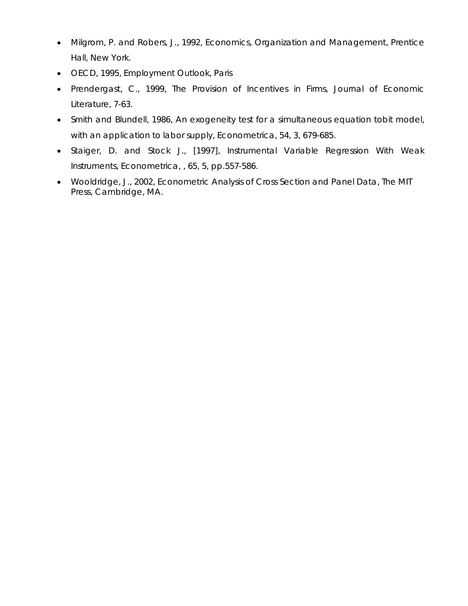- Milgrom, P. and Robers, J., 1992, *Economics, Organization and Management*, Prentice Hall, New York.
- OECD, 1995, *Employment Outlook*, Paris
- Prendergast, C., 1999, The Provision of Incentives in Firms, *Journal of Economic Literature*, 7-63.
- Smith and Blundell, 1986, An exogeneity test for a simultaneous equation tobit model, with an application to labor supply, *Econometrica*, 54, 3, 679-685.
- Staiger, D. and Stock J., [1997], Instrumental Variable Regression With Weak Instruments, *Econometrica*, , 65, 5, pp.557-586.
- Wooldridge, J., 2002, *Econometric Analysis of Cross Section and Panel Data*, The MIT Press, Cambridge, MA.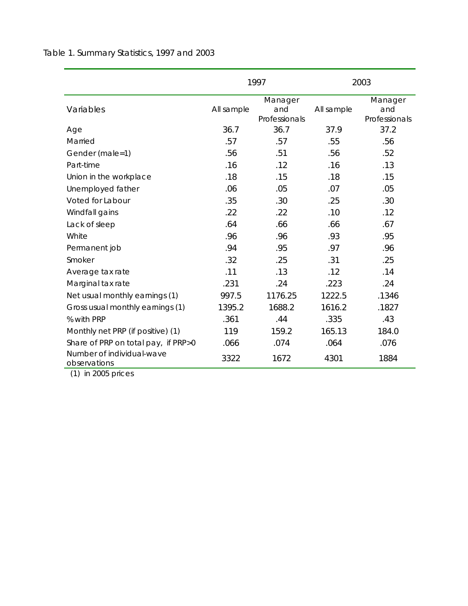|                                           |            | 1997                            | 2003       |                                 |  |
|-------------------------------------------|------------|---------------------------------|------------|---------------------------------|--|
| Variables                                 | All sample | Manager<br>and<br>Professionals | All sample | Manager<br>and<br>Professionals |  |
| Age                                       | 36.7       | 36.7                            | 37.9       | 37.2                            |  |
| Married                                   | .57        | .57                             | .55        | .56                             |  |
| Gender (male=1)                           | .56        | .51                             | .56        | .52                             |  |
| Part-time                                 | .16        | .12                             | .16        | .13                             |  |
| Union in the workplace                    | .18        | .15                             | .18        | .15                             |  |
| Unemployed father                         | .06        | .05                             | .07        | .05                             |  |
| Voted for Labour                          | .35        | .30                             | .25        | .30                             |  |
| Windfall gains                            | .22        | .22                             | .10        | .12                             |  |
| Lack of sleep                             | .64        | .66                             | .66        | .67                             |  |
| White                                     | .96        | .96                             | .93        | .95                             |  |
| Permanent job                             | .94        | .95                             | .97        | .96                             |  |
| Smoker                                    | .32        | .25                             | .31        | .25                             |  |
| Average tax rate                          | .11        | .13                             | .12        | .14                             |  |
| Marginal tax rate                         | .231       | .24                             | .223       | .24                             |  |
| Net usual monthly earnings (1)            | 997.5      | 1176.25                         | 1222.5     | .1346                           |  |
| Gross usual monthly earnings (1)          | 1395.2     | 1688.2                          | 1616.2     | .1827                           |  |
| % with PRP                                | .361       | .44                             | .335       | .43                             |  |
| Monthly net PRP (if positive) (1)         | 119        | 159.2                           | 165.13     | 184.0                           |  |
| Share of PRP on total pay, if PRP>0       | .066       | .074                            | .064       | .076                            |  |
| Number of individual-wave<br>observations | 3322       | 1672                            | 4301       | 1884                            |  |

Table 1. Summary Statistics, 1997 and 2003

(1) in 2005 prices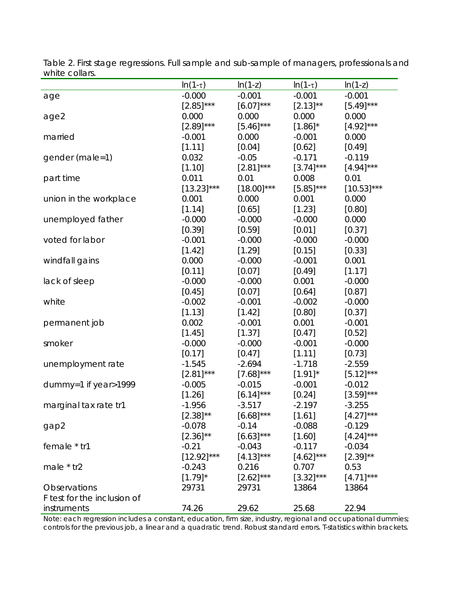|                             | $ln(1-\tau)$  | $ln(1-z)$     | $ln(1-\tau)$ | $ln(1-z)$     |
|-----------------------------|---------------|---------------|--------------|---------------|
| age                         | $-0.000$      | $-0.001$      | $-0.001$     | $-0.001$      |
|                             | $[2.85]$ ***  | $[6.07]$ ***  | $[2.13]$ **  | $[5.49]$ ***  |
| age2                        | 0.000         | 0.000         | 0.000        | 0.000         |
|                             | $[2.89]$ ***  | $[5.46]$ ***  | $[1.86]^*$   | $[4.92]$ ***  |
| married                     | $-0.001$      | 0.000         | $-0.001$     | 0.000         |
|                             | [1.11]        | [0.04]        | [0.62]       | [0.49]        |
| gender (male=1)             | 0.032         | $-0.05$       | $-0.171$     | $-0.119$      |
|                             | [1.10]        | $[2.81]$ ***  | $[3.74]$ *** | $[4.94]$ ***  |
| part time                   | 0.011         | 0.01          | 0.008        | 0.01          |
|                             | $[13.23]$ *** | $[18.00]$ *** | $[5.85]$ *** | $[10.53]$ *** |
| union in the workplace      | 0.001         | 0.000         | 0.001        | 0.000         |
|                             | [1.14]        | [0.65]        | [1.23]       | [0.80]        |
| unemployed father           | $-0.000$      | $-0.000$      | $-0.000$     | 0.000         |
|                             | [0.39]        | [0.59]        | [0.01]       | [0.37]        |
| voted for labor             | $-0.001$      | $-0.000$      | $-0.000$     | $-0.000$      |
|                             | [1.42]        | [1.29]        | [0.15]       | [0.33]        |
| windfall gains              | 0.000         | $-0.000$      | $-0.001$     | 0.001         |
|                             | [0.11]        | [0.07]        | [0.49]       | [1.17]        |
| lack of sleep               | $-0.000$      | $-0.000$      | 0.001        | $-0.000$      |
|                             | [0.45]        | [0.07]        | [0.64]       | [0.87]        |
| white                       | $-0.002$      | $-0.001$      | $-0.002$     | $-0.000$      |
|                             | [1.13]        | [1.42]        | [0.80]       | [0.37]        |
| permanent job               | 0.002         | $-0.001$      | 0.001        | $-0.001$      |
|                             | [1.45]        | [1.37]        | [0.47]       | [0.52]        |
| smoker                      | $-0.000$      | $-0.000$      | $-0.001$     | $-0.000$      |
|                             | [0.17]        | $[0.47]$      | [1.11]       | [0.73]        |
| unemployment rate           | $-1.545$      | $-2.694$      | $-1.718$     | $-2.559$      |
|                             | $[2.81]$ ***  | $[7.68]$ ***  | $[1.91]$ *   | $[5.12]$ ***  |
| dummy=1 if year>1999        | $-0.005$      | $-0.015$      | $-0.001$     | $-0.012$      |
|                             | [1.26]        | $[6.14]$ ***  | [0.24]       | $[3.59]$ ***  |
| marginal tax rate tr1       | $-1.956$      | $-3.517$      | $-2.197$     | $-3.255$      |
|                             | $[2.38]^{**}$ | $[6.68]$ ***  | [1.61]       | $[4.27]$ ***  |
| gap2                        | $-0.078$      | $-0.14$       | $-0.088$     | $-0.129$      |
|                             | $[2.36]^{**}$ | $[6.63]$ ***  | [1.60]       | $[4.24]$ ***  |
| female * tr1                | $-0.21$       | $-0.043$      | $-0.117$     | $-0.034$      |
|                             | $[12.92]$ *** | $[4.13]$ ***  | $[4.62]$ *** | $[2.39]^{**}$ |
| male $*$ tr2                | $-0.243$      | 0.216         | 0.707        | 0.53          |
|                             | $[1.79]$ *    | $[2.62]$ ***  | $[3.32]$ *** | $[4.71]$ ***  |
| Observations                | 29731         | 29731         | 13864        | 13864         |
| F test for the inclusion of |               |               |              |               |
| instruments                 | 74.26         | 29.62         | 25.68        | 22.94         |

Table 2. First stage regressions. Full sample and sub-sample of managers, professionals and white collars.

Note: each regression includes a constant, education, firm size, industry, regional and occupational dummies; controls for the previous job, a linear and a quadratic trend. Robust standard errors. T-statistics within brackets.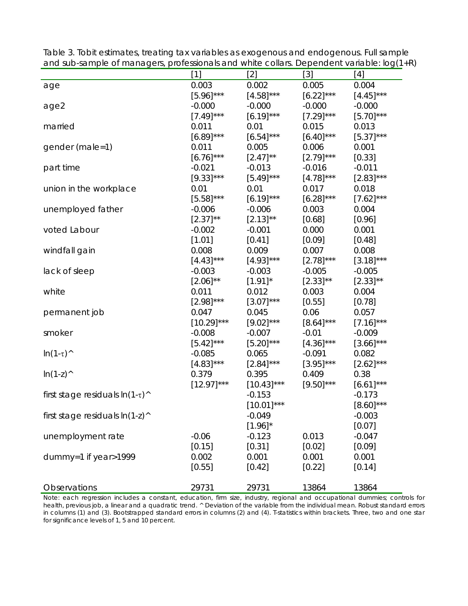|                                              | $[1]$         | $[2]$         | $[3]$        | [4]          |
|----------------------------------------------|---------------|---------------|--------------|--------------|
| age                                          | 0.003         | 0.002         | 0.005        | 0.004        |
|                                              | $[5.96]$ ***  | $[4.58]$ ***  | $[6.22]$ *** | $[4.45]$ *** |
| age2                                         | $-0.000$      | $-0.000$      | $-0.000$     | $-0.000$     |
|                                              | $[7.49]$ ***  | $[6.19]$ ***  | $[7.29]$ *** | $[5.70]$ *** |
| married                                      | 0.011         | 0.01          | 0.015        | 0.013        |
|                                              | $[6.89]$ ***  | $[6.54]$ ***  | $[6.40]$ *** | $[5.37]$ *** |
| gender (male=1)                              | 0.011         | 0.005         | 0.006        | 0.001        |
|                                              | $[6.76]$ ***  | $[2.47]$ **   | $[2.79]$ *** | [0.33]       |
| part time                                    | $-0.021$      | $-0.013$      | $-0.016$     | $-0.011$     |
|                                              | $[9.33]$ ***  | $[5.49]$ ***  | $[4.78]$ *** | $[2.83]$ *** |
| union in the workplace                       | 0.01          | 0.01          | 0.017        | 0.018        |
|                                              | $[5.58]$ ***  | $[6.19]$ ***  | $[6.28]$ *** | $[7.62]$ *** |
| unemployed father                            | $-0.006$      | $-0.006$      | 0.003        | 0.004        |
|                                              | $[2.37]$ **   | $[2.13]$ **   | [0.68]       | [0.96]       |
| voted Labour                                 | $-0.002$      | $-0.001$      | 0.000        | 0.001        |
|                                              | [1.01]        | [0.41]        | [0.09]       | [0.48]       |
| windfall gain                                | 0.008         | 0.009         | 0.007        | 0.008        |
|                                              | $[4.43]$ ***  | $[4.93]$ ***  | $[2.78]$ *** | $[3.18]$ *** |
| lack of sleep                                | $-0.003$      | $-0.003$      | $-0.005$     | $-0.005$     |
|                                              | $[2.06]$ **   | $[1.91]$ *    | $[2.33]$ **  | $[2.33]$ **  |
| white                                        | 0.011         | 0.012         | 0.003        | 0.004        |
|                                              | $[2.98]$ ***  | $[3.07]$ ***  | [0.55]       | [0.78]       |
| permanent job                                | 0.047         | 0.045         | 0.06         | 0.057        |
|                                              | $[10.29]$ *** | $[9.02]$ ***  | $[8.64]$ *** | $[7.16]$ *** |
| smoker                                       | $-0.008$      | $-0.007$      | $-0.01$      | $-0.009$     |
|                                              | $[5.42]$ ***  | $[5.20]$ ***  | $[4.36]$ *** | $[3.66]$ *** |
| $\ln(1-\tau)$                                | $-0.085$      | 0.065         | $-0.091$     | 0.082        |
|                                              | $[4.83]$ ***  | $[2.84]$ ***  | $[3.95]$ *** | $[2.62]$ *** |
| $ln(1-z)^{\wedge}$                           | 0.379         | 0.395         | 0.409        | 0.38         |
|                                              | $[12.97]$ *** | $[10.43]$ *** | $[9.50]$ *** | $[6.61]$ *** |
| first stage residuals $\ln(1-\tau)^{\wedge}$ |               | $-0.153$      |              | $-0.173$     |
|                                              |               | $[10.01]$ *** |              | $[8.60]$ *** |
| first stage residuals $ln(1-z)^{n}$          |               | $-0.049$      |              | $-0.003$     |
|                                              |               | $[1.96]$ *    |              | [0.07]       |
| unemployment rate                            | $-0.06$       | $-0.123$      | 0.013        | $-0.047$     |
|                                              | [0.15]        | [0.31]        | [0.02]       | [0.09]       |
| dummy=1 if year>1999                         | 0.002         | 0.001         | 0.001        | 0.001        |
|                                              | [0.55]        | [0.42]        | [0.22]       | [0.14]       |
|                                              |               |               |              |              |
| Observations                                 | 29731         | 29731         | 13864        | 13864        |

Table 3. Tobit estimates, treating tax variables as exogenous and endogenous. Full sample and sub-sample of managers, professionals and white collars. Dependent variable: log(1+R)

Note: each regression includes a constant, education, firm size, industry, regional and occupational dummies; controls for health, previous job, a linear and a quadratic trend. ^ Deviation of the variable from the individual mean. Robust standard errors in columns (1) and (3). Bootstrapped standard errors in columns (2) and (4). T-statistics within brackets. Three, two and one star for significance levels of 1, 5 and 10 percent.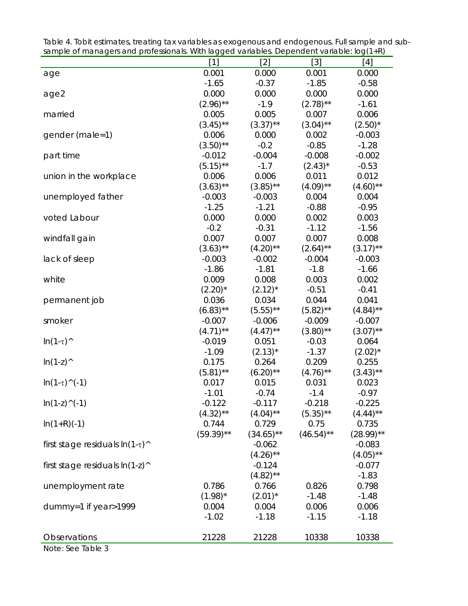|                                     | $[1]$        | $[2]$        | $[3]$        | [4]          |
|-------------------------------------|--------------|--------------|--------------|--------------|
| age                                 | 0.001        | 0.000        | 0.001        | 0.000        |
|                                     | $-1.65$      | $-0.37$      | $-1.85$      | $-0.58$      |
| age2                                | 0.000        | 0.000        | 0.000        | 0.000        |
|                                     | $(2.96)$ **  | $-1.9$       | $(2.78)$ **  | $-1.61$      |
| married                             | 0.005        | 0.005        | 0.007        | 0.006        |
|                                     | $(3.45)$ **  | $(3.37)$ **  | $(3.04)$ **  | $(2.50)^*$   |
| gender (male=1)                     | 0.006        | 0.000        | 0.002        | $-0.003$     |
|                                     | $(3.50)$ **  | $-0.2$       | $-0.85$      | $-1.28$      |
| part time                           | $-0.012$     | $-0.004$     | $-0.008$     | $-0.002$     |
|                                     | $(5.15)$ **  | $-1.7$       | $(2.43)^*$   | $-0.53$      |
| union in the workplace              | 0.006        | 0.006        | 0.011        | 0.012        |
|                                     | $(3.63)$ **  | $(3.85)$ **  | $(4.09)$ **  | $(4.60)$ **  |
| unemployed father                   | $-0.003$     | $-0.003$     | 0.004        | 0.004        |
|                                     | $-1.25$      | $-1.21$      | $-0.88$      | $-0.95$      |
| voted Labour                        | 0.000        | 0.000        | 0.002        | 0.003        |
|                                     | $-0.2$       | $-0.31$      | $-1.12$      | $-1.56$      |
| windfall gain                       | 0.007        | 0.007        | 0.007        | 0.008        |
|                                     | $(3.63)$ **  | $(4.20)$ **  | $(2.64)$ **  | $(3.17)$ **  |
| lack of sleep                       | $-0.003$     | $-0.002$     | $-0.004$     | $-0.003$     |
|                                     | $-1.86$      | $-1.81$      | $-1.8$       | $-1.66$      |
| white                               | 0.009        | 0.008        | 0.003        | 0.002        |
|                                     | $(2.20)^*$   | $(2.12)^*$   | $-0.51$      | $-0.41$      |
| permanent job                       | 0.036        | 0.034        | 0.044        | 0.041        |
|                                     | $(6.83)$ **  | $(5.55)$ **  | $(5.82)$ **  | $(4.84)$ **  |
| smoker                              | $-0.007$     | $-0.006$     | $-0.009$     | $-0.007$     |
|                                     | $(4.71)$ **  | $(4.47)$ **  | $(3.80)$ **  | $(3.07)$ **  |
| $\ln(1-\tau)$                       | $-0.019$     | 0.051        | $-0.03$      | 0.064        |
|                                     | $-1.09$      | $(2.13)^*$   | $-1.37$      | $(2.02)^*$   |
| $ln(1-z)^{A}$                       | 0.175        | 0.264        | 0.209        | 0.255        |
|                                     | $(5.81)$ **  | $(6.20)$ **  | $(4.76)$ **  | $(3.43)$ **  |
| $\ln(1-\tau)$ (-1)                  | 0.017        | 0.015        | 0.031        | 0.023        |
|                                     | $-1.01$      | $-0.74$      | $-1.4$       | $-0.97$      |
| $\ln(1-z)^{(1)}$                    | $-0.122$     | $-0.117$     | $-0.218$     | $-0.225$     |
|                                     | $(4.32)$ **  | $(4.04)$ **  | $(5.35)$ **  | $(4.44)$ **  |
| $ln(1+R)(-1)$                       | 0.744        | 0.729        | 0.75         | 0.735        |
|                                     | $(59.39)$ ** | $(34.65)$ ** | $(46.54)$ ** | $(28.99)$ ** |
| first stage residuals $\ln(1-\tau)$ |              | $-0.062$     |              | $-0.083$     |
|                                     |              | $(4.26)$ **  |              | $(4.05)$ **  |
| first stage residuals $ln(1-z)^{n}$ |              | $-0.124$     |              | $-0.077$     |
|                                     |              | $(4.82)$ **  |              | $-1.83$      |
| unemployment rate                   | 0.786        | 0.766        | 0.826        | 0.798        |
|                                     | $(1.98)^*$   | $(2.01)^*$   | $-1.48$      | $-1.48$      |
| dummy=1 if year>1999                | 0.004        | 0.004        | 0.006        | 0.006        |
|                                     | $-1.02$      | $-1.18$      | $-1.15$      | $-1.18$      |
|                                     |              |              |              |              |
| Observations                        | 21228        | 21228        | 10338        | 10338        |

Table 4. Tobit estimates, treating tax variables as exogenous and endogenous. Full sample and subsample of managers and professionals. With lagged variables. Dependent variable: log(1+R)

Note: See Table 3